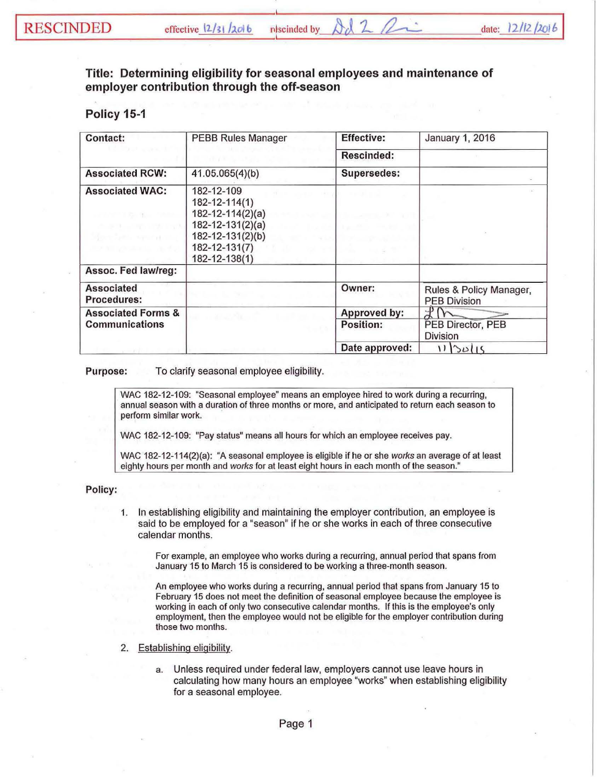## Title: Determining eligibility for seasonal employees and maintenance of employer contribution through the off-season

## Policy 15-1

| <b>Contact:</b>                                                                                      | <b>PEBB Rules Manager</b>                                                                                                                         | <b>Effective:</b>  | January 1, 2016                                |
|------------------------------------------------------------------------------------------------------|---------------------------------------------------------------------------------------------------------------------------------------------------|--------------------|------------------------------------------------|
|                                                                                                      |                                                                                                                                                   | Rescinded:         |                                                |
| <b>Associated RCW:</b>                                                                               | 41.05.065(4)(b)                                                                                                                                   | <b>Supersedes:</b> |                                                |
| <b>Associated WAC:</b><br>and the company's state and<br>en Serio secondo<br>o an go shekara a sheka | 182-12-109<br>$182 - 12 - 114(1)$<br>$182 - 12 - 114(2)(a)$<br>$182 - 12 - 131(2)(a)$<br>182-12-131(2)(b)<br>182-12-131(7)<br>$182 - 12 - 138(1)$ |                    |                                                |
| Assoc. Fed law/reg:                                                                                  |                                                                                                                                                   |                    |                                                |
| <b>Associated</b><br><b>Procedures:</b>                                                              |                                                                                                                                                   | Owner:             | Rules & Policy Manager,<br><b>PEB Division</b> |
| <b>Associated Forms &amp;</b>                                                                        | <b>CONTRACTOR</b>                                                                                                                                 | Approved by:       |                                                |
| Communications                                                                                       |                                                                                                                                                   | Position:          | PEB Director, PEB<br><b>Division</b>           |
|                                                                                                      |                                                                                                                                                   | Date approved:     | 11/30/15                                       |

Purpose: To clarify seasonal employee eligibility.

WAC 182-12-109: "Seasonal employee" means an employee hired to work during a recurring, annual season with a duration of three months or more, and anticipated to return each season to perform similar work.

WAC 182-12-109: "Pay status" means all hours for which an employee receives pay.

WAC 182-12-114(2)(a): "A seasonal employee is eligible if he or she *works* an average of at least eighty hours per month and *works* for at least eight hours in each month of the season."

## Policy:

1. In establishing eligibility and maintaining the employer contribution, an employee is said to be employed for a "season" if he or she works in each of three consecutive calendar months.

For example, an employee who works during a recurring, annual period that spans from January 15 to March 15 is considered to be working a three-month season.

An employee who works during a recurring, annual period that spans from January 15 to February 15 does not meet the definition of seasonal employee because the employee is working in each of only two consecutive calendar months. If this is the employee's only employment, then the employee would not be eligible for the employer contribution during those two months.

- 2. Establishing eligibility.
	- a. Unless required under federal law, employers cannot use leave hours in calculating how many hours an employee "works" when establishing eligibility for a seasonal employee.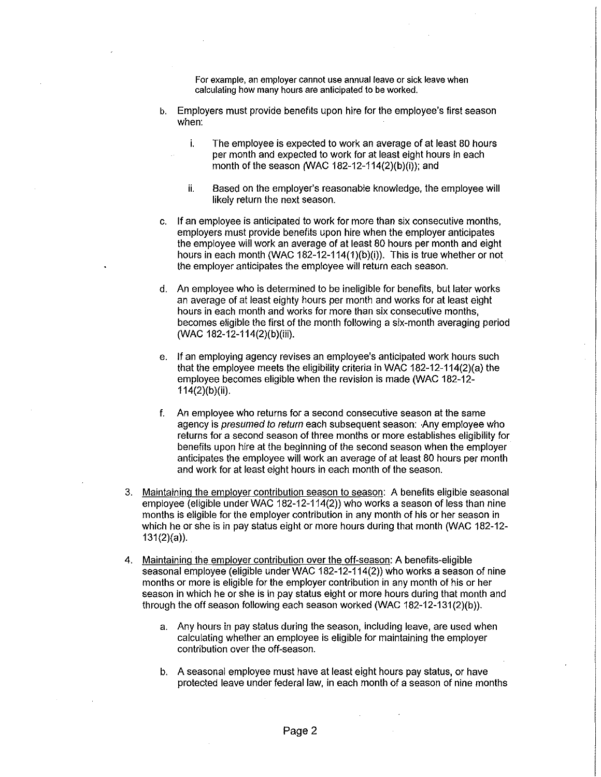For example, an employer cannot use annual leave or sick leave when calculating how many hours are anticipated to be worked.

- b. Employers must provide benefits upon hire for the employee's first season when:
	- i. The employee is expected to work an average of at least 80 hours per month and expected to work for at least eight hours in each month of the season (WAC 182-12-114(2)(b)(i)); and
	- ii. Based on the employer's reasonable knowledge, the employee will likely return the next season.
- c. If an employee is anticipated to work for more than six consecutive months, employers must provide benefits upon hire when the employer anticipates the employee will work an average of at least 80 hours per month and eight hours in each month (WAC 182-12-114(1)(b)(i)). This is true whether or not the employer anticipates the employee will return each season.
- d. An employee who is determined to be ineligible for benefits, but later works an average of at least eighty hours per month and works for at least eight hours in each month and works for more than six consecutive months, becomes eligible the first of the month following a six-month averaging period (WAC 182-12-114(2)(b)(iii).
- e. If an employing agency revises an employee's anticipated work hours such that the employee meets the eligibility criteria in WAC 182-12-114(2)(a) the employee becomes eligible when the revision is made (WAC 182-12- 114(2)(b)(ii).
- f. An employee who returns for a second consecutive season at the same agency is *presumed to return* each subsequent season: -Any employee who returns for a second season of three months or more establishes eligibility for benefits upon hire at the beginning of the second season when the employer anticipates the employee will work an average of at least 80 hours per month and work for at least eight hours in each month of the season.
- 3. Maintaining the employer contribution season to season: A benefits eligible seasonal employee (eligible under WAC 182-12-114(2)) who works a season of less than nine months is eligible for the employer contribution in any month of his or her season in which he or she is in pay status eight or more hours during that month (WAC 182-12- 131(2)(a)).
- 4. Maintaining the employer contribution over the off-season: A benefits-eligible seasonal employee (eligible under WAC 182-12-114(2)) who works a season of nine months or more is eligible for the employer contribution in any month of his or her season in which he or she is in pay status eight or more hours during that month and through the off season following each season worked (WAC 182-12-131(2)(b)).
	- a. Any hours in pay status during the season, including leave, are used when calculating whether an employee is eligible for maintaining the employer contribution over the off-season.
	- b. A seasonal employee must have at least eight hours pay status, or have protected leave under federal law, in each month of a season of nine months